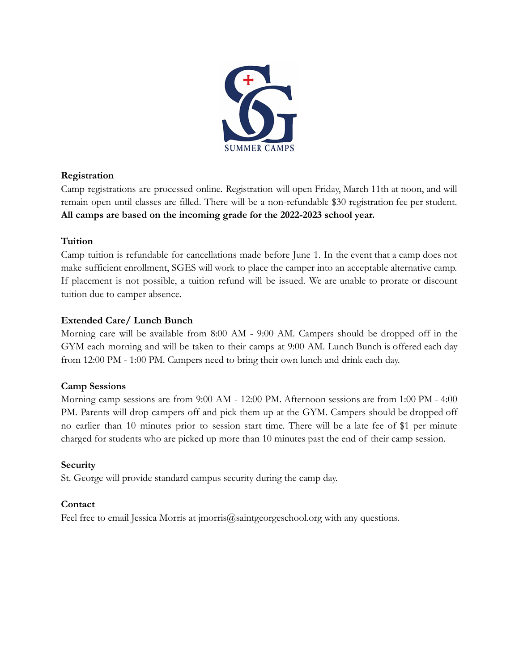

# **Registration**

Camp registrations are processed online. Registration will open Friday, March 11th at noon, and will remain open until classes are filled. There will be a non-refundable \$30 registration fee per student. **All camps are based on the incoming grade for the 2022-2023 school year.**

# **Tuition**

Camp tuition is refundable for cancellations made before June 1. In the event that a camp does not make sufficient enrollment, SGES will work to place the camper into an acceptable alternative camp. If placement is not possible, a tuition refund will be issued. We are unable to prorate or discount tuition due to camper absence.

# **Extended Care/ Lunch Bunch**

Morning care will be available from 8:00 AM - 9:00 AM. Campers should be dropped off in the GYM each morning and will be taken to their camps at 9:00 AM. Lunch Bunch is offered each day from 12:00 PM - 1:00 PM. Campers need to bring their own lunch and drink each day.

# **Camp Sessions**

Morning camp sessions are from 9:00 AM - 12:00 PM. Afternoon sessions are from 1:00 PM - 4:00 PM. Parents will drop campers off and pick them up at the GYM. Campers should be dropped off no earlier than 10 minutes prior to session start time. There will be a late fee of \$1 per minute charged for students who are picked up more than 10 minutes past the end of their camp session.

# **Security**

St. George will provide standard campus security during the camp day.

# **Contact**

Feel free to email Jessica Morris at imorris@saintgeorgeschool.org with any questions.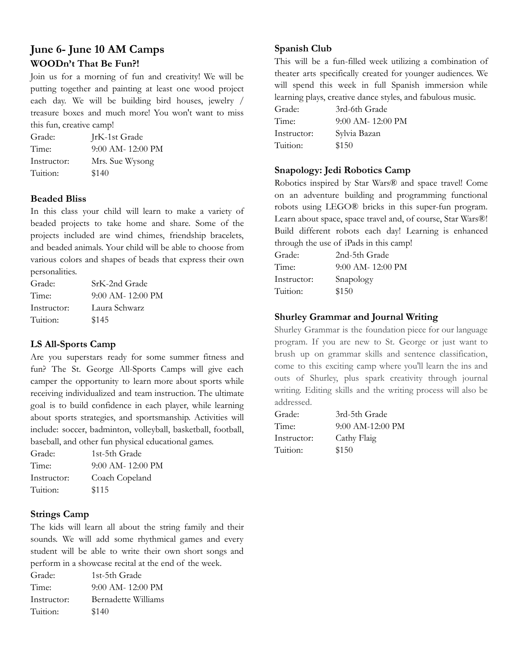# **June 6- June 10 AM Camps WOODn't That Be Fun?!**

Join us for a morning of fun and creativity! We will be putting together and painting at least one wood project each day. We will be building bird houses, jewelry / treasure boxes and much more! You won't want to miss this fun, creative camp!

| Grade:      | JrK-1st Grade       |
|-------------|---------------------|
| Time:       | $9:00$ AM- 12:00 PM |
| Instructor: | Mrs. Sue Wysong     |
| Tuition:    | \$140               |

#### **Beaded Bliss**

In this class your child will learn to make a variety of beaded projects to take home and share. Some of the projects included are wind chimes, friendship bracelets, and beaded animals. Your child will be able to choose from various colors and shapes of beads that express their own personalities.

| Grade:      | SrK-2nd Grade       |
|-------------|---------------------|
| Time:       | $9:00$ AM- 12:00 PM |
| Instructor: | Laura Schwarz       |
| Tuition:    | \$145               |

#### **LS All-Sports Camp**

Are you superstars ready for some summer fitness and fun? The St. George All-Sports Camps will give each camper the opportunity to learn more about sports while receiving individualized and team instruction. The ultimate goal is to build confidence in each player, while learning about sports strategies, and sportsmanship. Activities will include: soccer, badminton, volleyball, basketball, football, baseball, and other fun physical educational games.

| Grade:      | 1st-5th Grade       |
|-------------|---------------------|
| Time:       | $9:00$ AM- 12:00 PM |
| Instructor: | Coach Copeland      |
| Tuition:    | \$115               |

#### **Strings Camp**

The kids will learn all about the string family and their sounds. We will add some rhythmical games and every student will be able to write their own short songs and perform in a showcase recital at the end of the week.

| Grade:      | 1st-5th Grade              |
|-------------|----------------------------|
| Time:       | $9:00$ AM- 12:00 PM        |
| Instructor: | <b>Bernadette Williams</b> |
| Tuition:    | \$140                      |

#### **Spanish Club**

This will be a fun-filled week utilizing a combination of theater arts specifically created for younger audiences. We will spend this week in full Spanish immersion while learning plays, creative dance styles, and fabulous music.

| Grade:      | 3rd-6th Grade       |
|-------------|---------------------|
| Time:       | $9:00$ AM- 12:00 PM |
| Instructor: | Sylvia Bazan        |
| Tuition:    | \$150               |

#### **Snapology: Jedi Robotics Camp**

Robotics inspired by Star Wars® and space travel! Come on an adventure building and programming functional robots using LEGO® bricks in this super-fun program. Learn about space, space travel and, of course, Star Wars®! Build different robots each day! Learning is enhanced through the use of iPads in this camp!

| Grade:      | 2nd-5th Grade       |
|-------------|---------------------|
| Time:       | $9:00$ AM- 12:00 PM |
| Instructor: | Snapology           |
| Tuition:    | \$150               |

#### **Shurley Grammar and Journal Writing**

Shurley Grammar is the foundation piece for our language program. If you are new to St. George or just want to brush up on grammar skills and sentence classification, come to this exciting camp where you'll learn the ins and outs of Shurley, plus spark creativity through journal writing. Editing skills and the writing process will also be addressed.

| Grade:      | 3rd-5th Grade      |
|-------------|--------------------|
| Time:       | $9:00$ AM-12:00 PM |
| Instructor: | Cathy Flaig        |
| Tuition:    | \$150              |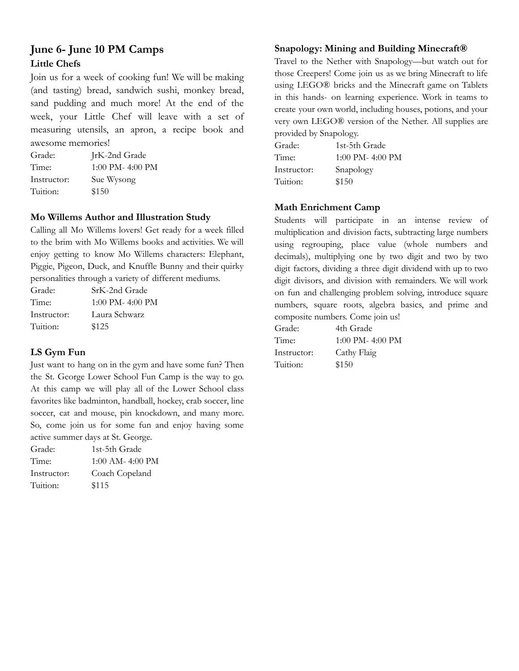# **June 6- June 10 PM Camps Little Chefs**

Join us for a week of cooking fun! We will be making (and tasting) bread, sandwich sushi, monkey bread, sand pudding and much more! At the end of the week, your Little Chef will leave with a set of measuring utensils, an apron, a recipe book and awesome memories!

| Grade:      | JrK-2nd Grade        |
|-------------|----------------------|
| Time:       | $1:00$ PM- $4:00$ PM |
| Instructor: | Sue Wysong           |
| Tuition:    | \$150                |

#### **Mo Willems Author and Illustration Study**

Calling all Mo Willems lovers! Get ready for a week filled to the brim with Mo Willems books and activities. We will enjoy getting to know Mo Willems characters: Elephant, Piggie, Pigeon, Duck, and Knuffle Bunny and their quirky personalities through a variety of different mediums.

| Grade:      | SrK-2nd Grade        |
|-------------|----------------------|
| Time:       | $1:00$ PM- $4:00$ PM |
| Instructor: | Laura Schwarz        |
| Tuition:    | \$125                |

# **LS Gym Fun**

Just want to hang on in the gym and have some fun? Then the St. George Lower School Fun Camp is the way to go. At this camp we will play all of the Lower School class favorites like badminton, handball, hockey, crab soccer, line soccer, cat and mouse, pin knockdown, and many more. So, come join us for some fun and enjoy having some active summer days at St. George.

| Grade:      | 1st-5th Grade        |
|-------------|----------------------|
| Time:       | $1:00$ AM- $4:00$ PM |
| Instructor: | Coach Copeland       |
| Tuition:    | \$115                |

#### **Snapology: Mining and Building Minecraft®**

Travel to the Nether with Snapology—but watch out for those Creepers! Come join us as we bring Minecraft to life using LEGO® bricks and the Minecraft game on Tablets in this hands- on learning experience. Work in teams to create your own world, including houses, potions, and your very own LEGO® version of the Nether. All supplies are provided by Snapology.

| Grade:      | 1st-5th Grade        |
|-------------|----------------------|
| Time:       | $1:00$ PM- $4:00$ PM |
| Instructor: | Snapology            |
| Tuition:    | \$150                |

### **Math Enrichment Camp**

Students will participate in an intense review of multiplication and division facts, subtracting large numbers using regrouping, place value (whole numbers and decimals), multiplying one by two digit and two by two digit factors, dividing a three digit dividend with up to two digit divisors, and division with remainders. We will work on fun and challenging problem solving, introduce square numbers, square roots, algebra basics, and prime and composite numbers. Come join us!

| Grade:      | 4th Grade            |
|-------------|----------------------|
| Time:       | $1:00$ PM- $4:00$ PM |
| Instructor: | Cathy Flaig          |
| Tuition:    | \$150                |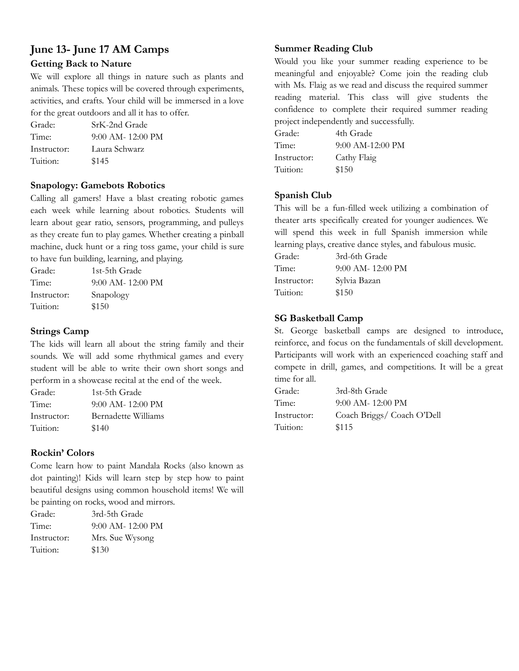# **June 13- June 17 AM Camps Getting Back to Nature**

We will explore all things in nature such as plants and animals. These topics will be covered through experiments, activities, and crafts. Your child will be immersed in a love for the great outdoors and all it has to offer.

| Grade:      | SrK-2nd Grade       |
|-------------|---------------------|
| Time:       | $9:00$ AM- 12:00 PM |
| Instructor: | Laura Schwarz       |
| Tuition:    | \$145               |

#### **Snapology: Gamebots Robotics**

Calling all gamers! Have a blast creating robotic games each week while learning about robotics. Students will learn about gear ratio, sensors, programming, and pulleys as they create fun to play games. Whether creating a pinball machine, duck hunt or a ring toss game, your child is sure to have fun building, learning, and playing.

| Grade:      | 1st-5th Grade       |
|-------------|---------------------|
| Time:       | $9:00$ AM- 12:00 PM |
| Instructor: | Snapology           |
| Tuition:    | \$150               |

#### **Strings Camp**

The kids will learn all about the string family and their sounds. We will add some rhythmical games and every student will be able to write their own short songs and perform in a showcase recital at the end of the week.

| Grade:      | 1st-5th Grade       |
|-------------|---------------------|
| Time:       | $9:00$ AM- 12:00 PM |
| Instructor: | Bernadette Williams |
| Tuition:    | \$140               |

# **Rockin' Colors**

Come learn how to paint Mandala Rocks (also known as dot painting)! Kids will learn step by step how to paint beautiful designs using common household items! We will be painting on rocks, wood and mirrors.

| Grade:      | 3rd-5th Grade       |
|-------------|---------------------|
| Time:       | $9:00$ AM- 12:00 PM |
| Instructor: | Mrs. Sue Wysong     |
| Tuition:    | \$130               |

# **Summer Reading Club**

Would you like your summer reading experience to be meaningful and enjoyable? Come join the reading club with Ms. Flaig as we read and discuss the required summer reading material. This class will give students the confidence to complete their required summer reading project independently and successfully.

| Grade:      | 4th Grade          |
|-------------|--------------------|
| Time:       | $9:00$ AM-12:00 PM |
| Instructor: | Cathy Flaig        |
| Tuition:    | \$150              |

#### **Spanish Club**

This will be a fun-filled week utilizing a combination of theater arts specifically created for younger audiences. We will spend this week in full Spanish immersion while learning plays, creative dance styles, and fabulous music.

| Grade:      | 3rd-6th Grade         |
|-------------|-----------------------|
| Time:       | $9:00$ AM- $12:00$ PM |
| Instructor: | Sylvia Bazan          |
| Tuition:    | \$150                 |

#### **SG Basketball Camp**

St. George basketball camps are designed to introduce, reinforce, and focus on the fundamentals of skill development. Participants will work with an experienced coaching staff and compete in drill, games, and competitions. It will be a great time for all.

| Grade:      | 3rd-8th Grade              |
|-------------|----------------------------|
| Time:       | $9:00$ AM- $12:00$ PM      |
| Instructor: | Coach Briggs/ Coach O'Dell |
| Tuition:    | \$115                      |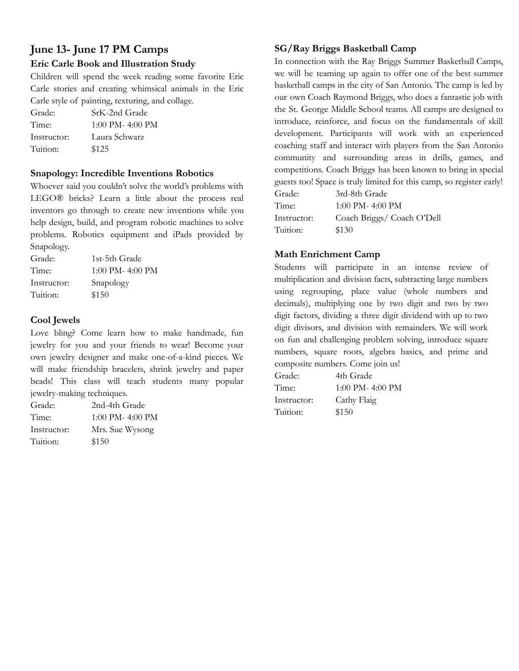# **June 13- June 17 PM Camps Eric Carle Book and Illustration Study**

Children will spend the week reading some favorite Eric Carle stories and creating whimsical animals in the Eric Carle style of painting, texturing, and collage.

| Grade:      | SrK-2nd Grade        |
|-------------|----------------------|
| Time:       | $1:00$ PM- $4:00$ PM |
| Instructor: | Laura Schwarz        |
| Tuition:    | \$125                |

#### **Snapology: Incredible Inventions Robotics**

Whoever said you couldn't solve the world's problems with LEGO® bricks? Learn a little about the process real inventors go through to create new inventions while you help design, build, and program robotic machines to solve problems. Robotics equipment and iPads provided by Snapology.

| Grade:      | 1st-5th Grade    |
|-------------|------------------|
| Time:       | 1:00 PM- 4:00 PM |
| Instructor: | Snapology        |
| Tuition:    | \$150            |

### **Cool Jewels**

Love bling? Come learn how to make handmade, fun jewelry for you and your friends to wear! Become your own jewelry designer and make one-of-a-kind pieces. We will make friendship bracelets, shrink jewelry and paper beads! This class will teach students many popular jewelry-making techniques.

| Grade:      | 2nd-4th Grade        |
|-------------|----------------------|
| Time:       | $1:00$ PM- $4:00$ PM |
| Instructor: | Mrs. Sue Wysong      |
| Tuition:    | \$150                |

### **SG/Ray Briggs Basketball Camp**

In connection with the Ray Briggs Summer Basketball Camps, we will be teaming up again to offer one of the best summer basketball camps in the city of San Antonio. The camp is led by our own Coach Raymond Briggs, who does a fantastic job with the St. George Middle School teams. All camps are designed to introduce, reinforce, and focus on the fundamentals of skill development. Participants will work with an experienced coaching staff and interact with players from the San Antonio community and surrounding areas in drills, games, and competitions. Coach Briggs has been known to bring in special guests too! Space is truly limited for this camp, so register early!  $2nd$   $9th$   $Crad$ 

| Grade:      | ord-8th Grade               |
|-------------|-----------------------------|
| Time:       | $1:00 \text{ PM}$ - 4:00 PM |
| Instructor: | Coach Briggs/ Coach O'Dell  |
| Tuition:    | \$130                       |

# **Math Enrichment Camp**

Students will participate in an intense review of multiplication and division facts, subtracting large numbers using regrouping, place value (whole numbers and decimals), multiplying one by two digit and two by two digit factors, dividing a three digit dividend with up to two digit divisors, and division with remainders. We will work on fun and challenging problem solving, introduce square numbers, square roots, algebra basics, and prime and composite numbers. Come join us!

| Grade:      | 4th Grade            |
|-------------|----------------------|
| Time:       | $1:00$ PM- $4:00$ PM |
| Instructor: | Cathy Flaig          |
| Tuition:    | \$150                |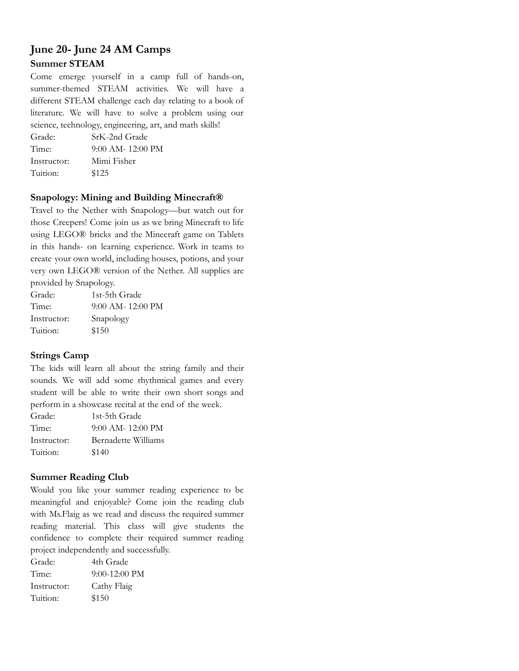# **June 20- June 24 AM Camps Summer STEAM**

Come emerge yourself in a camp full of hands-on, summer-themed STEAM activities. We will have a different STEAM challenge each day relating to a book of literature. We will have to solve a problem using our science, technology, engineering, art, and math skills!

Grade: SrK-2nd Grade Time: 9:00 AM- 12:00 PM Instructor: Mimi Fisher Tuition: \$125

#### **Snapology: Mining and Building Minecraft®**

Travel to the Nether with Snapology—but watch out for those Creepers! Come join us as we bring Minecraft to life using LEGO® bricks and the Minecraft game on Tablets in this hands- on learning experience. Work in teams to create your own world, including houses, potions, and your very own LEGO® version of the Nether. All supplies are provided by Snapology.

| Grade:      | 1st-5th Grade       |
|-------------|---------------------|
| Time:       | $9:00$ AM- 12:00 PM |
| Instructor: | Snapology           |
| Tuition:    | \$150               |

# **Strings Camp**

The kids will learn all about the string family and their sounds. We will add some rhythmical games and every student will be able to write their own short songs and perform in a showcase recital at the end of the week.

| Grade:      | 1st-5th Grade       |
|-------------|---------------------|
| Time:       | $9:00$ AM- 12:00 PM |
| Instructor: | Bernadette Williams |
| Tuition:    | \$140               |

# **Summer Reading Club**

Would you like your summer reading experience to be meaningful and enjoyable? Come join the reading club with Ms.Flaig as we read and discuss the required summer reading material. This class will give students the confidence to complete their required summer reading project independently and successfully.

Grade: 4th Grade Time: 9:00-12:00 PM Instructor: Cathy Flaig Tuition: \$150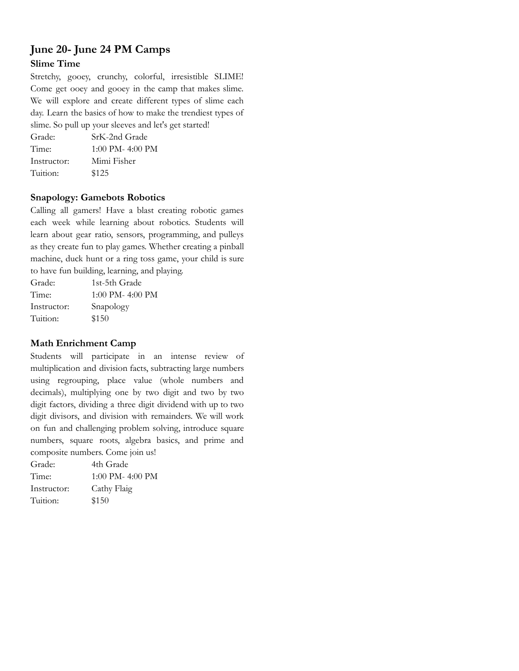# **June 20- June 24 PM Camps Slime Time**

Stretchy, gooey, crunchy, colorful, irresistible SLIME! Come get ooey and gooey in the camp that makes slime. We will explore and create different types of slime each day. Learn the basics of how to make the trendiest types of slime. So pull up your sleeves and let's get started!

Grade: SrK-2nd Grade Time: 1:00 PM- 4:00 PM Instructor: Mimi Fisher Tuition: \$125

#### **Snapology: Gamebots Robotics**

Calling all gamers! Have a blast creating robotic games each week while learning about robotics. Students will learn about gear ratio, sensors, programming, and pulleys as they create fun to play games. Whether creating a pinball machine, duck hunt or a ring toss game, your child is sure to have fun building, learning, and playing.

| Grade:      | 1st-5th Grade        |
|-------------|----------------------|
| Time:       | $1:00$ PM- $4:00$ PM |
| Instructor: | Snapology            |
| Tuition:    | \$150                |

### **Math Enrichment Camp**

Students will participate in an intense review of multiplication and division facts, subtracting large numbers using regrouping, place value (whole numbers and decimals), multiplying one by two digit and two by two digit factors, dividing a three digit dividend with up to two digit divisors, and division with remainders. We will work on fun and challenging problem solving, introduce square numbers, square roots, algebra basics, and prime and composite numbers. Come join us!

| Grade:      | 4th Grade        |
|-------------|------------------|
| Time:       | 1:00 PM- 4:00 PM |
| Instructor: | Cathy Flaig      |
| Tuition:    | \$150            |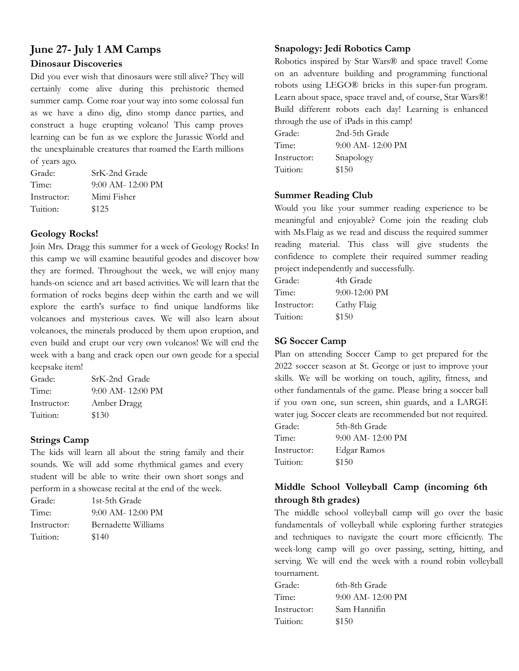# **June 27- July 1 AM Camps Dinosaur Discoveries**

Did you ever wish that dinosaurs were still alive? They will certainly come alive during this prehistoric themed summer camp. Come roar your way into some colossal fun as we have a dino dig, dino stomp dance parties, and construct a huge erupting volcano! This camp proves learning can be fun as we explore the Jurassic World and the unexplainable creatures that roamed the Earth millions of years ago.

| Grade:      | SrK-2nd Grade       |
|-------------|---------------------|
| Time:       | $9:00$ AM- 12:00 PM |
| Instructor: | Mimi Fisher         |
| Tuition:    | \$125               |

### **Geology Rocks!**

Join Mrs. Dragg this summer for a week of Geology Rocks! In this camp we will examine beautiful geodes and discover how they are formed. Throughout the week, we will enjoy many hands-on science and art based activities. We will learn that the formation of rocks begins deep within the earth and we will explore the earth's surface to find unique landforms like volcanoes and mysterious caves. We will also learn about volcanoes, the minerals produced by them upon eruption, and even build and erupt our very own volcanos! We will end the week with a bang and crack open our own geode for a special keepsake item!

| Grade:      | SrK-2nd Grade       |
|-------------|---------------------|
| Time:       | $9:00$ AM- 12:00 PM |
| Instructor: | Amber Dragg         |
| Tuition:    | \$130               |

# **Strings Camp**

The kids will learn all about the string family and their sounds. We will add some rhythmical games and every student will be able to write their own short songs and perform in a showcase recital at the end of the week.

| Grade:      | 1st-5th Grade       |
|-------------|---------------------|
| Time:       | $9:00$ AM- 12:00 PM |
| Instructor: | Bernadette Williams |
| Tuition:    | \$140               |

# **Snapology: Jedi Robotics Camp**

Robotics inspired by Star Wars® and space travel! Come on an adventure building and programming functional robots using LEGO® bricks in this super-fun program. Learn about space, space travel and, of course, Star Wars®! Build different robots each day! Learning is enhanced through the use of iPads in this camp!

| Grade:      | 2nd-5th Grade       |
|-------------|---------------------|
| Time:       | $9:00$ AM- 12:00 PM |
| Instructor: | Snapology           |
| Tuition:    | \$150               |

# **Summer Reading Club**

Would you like your summer reading experience to be meaningful and enjoyable? Come join the reading club with Ms.Flaig as we read and discuss the required summer reading material. This class will give students the confidence to complete their required summer reading project independently and successfully.

| 4th Grade       |
|-----------------|
| $9:00-12:00$ PM |
| Cathy Flaig     |
| \$150           |
|                 |

# **SG Soccer Camp**

Plan on attending Soccer Camp to get prepared for the 2022 soccer season at St. George or just to improve your skills. We will be working on touch, agility, fitness, and other fundamentals of the game. Please bring a soccer ball if you own one, sun screen, shin guards, and a LARGE water jug. Soccer cleats are recommended but not required.

| Grade:      | 5th-8th Grade       |
|-------------|---------------------|
| Time:       | $9:00$ AM- 12:00 PM |
| Instructor: | Edgar Ramos         |
| Tuition:    | \$150               |

# **Middle School Volleyball Camp (incoming 6th through 8th grades)**

The middle school volleyball camp will go over the basic fundamentals of volleyball while exploring further strategies and techniques to navigate the court more efficiently. The week-long camp will go over passing, setting, hitting, and serving. We will end the week with a round robin volleyball tournament.

| 6th-8th Grade       |
|---------------------|
| $9:00$ AM- 12:00 PM |
| Sam Hannifin        |
| \$150               |
|                     |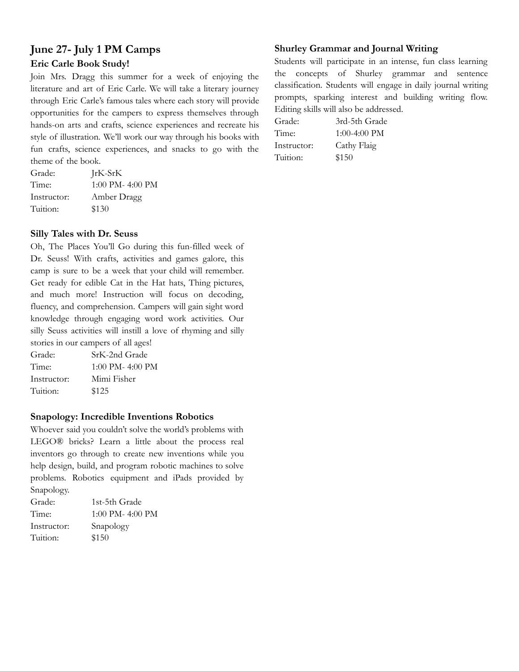# **June 27- July 1 PM Camps Eric Carle Book Study!**

Join Mrs. Dragg this summer for a week of enjoying the literature and art of Eric Carle. We will take a literary journey through Eric Carle's famous tales where each story will provide opportunities for the campers to express themselves through hands-on arts and crafts, science experiences and recreate his style of illustration. We'll work our way through his books with fun crafts, science experiences, and snacks to go with the theme of the book.

Grade: JrK-SrK Time: 1:00 PM- 4:00 PM Instructor: Amber Dragg Tuition: \$130

#### **Silly Tales with Dr. Seuss**

Oh, The Places You'll Go during this fun-filled week of Dr. Seuss! With crafts, activities and games galore, this camp is sure to be a week that your child will remember. Get ready for edible Cat in the Hat hats, Thing pictures, and much more! Instruction will focus on decoding, fluency, and comprehension. Campers will gain sight word knowledge through engaging word work activities. Our silly Seuss activities will instill a love of rhyming and silly stories in our campers of all ages!

| Grade:      | SrK-2nd Grade        |
|-------------|----------------------|
| Time:       | $1:00$ PM- $4:00$ PM |
| Instructor: | Mimi Fisher          |
| Tuition:    | \$125                |

#### **Snapology: Incredible Inventions Robotics**

Whoever said you couldn't solve the world's problems with LEGO® bricks? Learn a little about the process real inventors go through to create new inventions while you help design, build, and program robotic machines to solve problems. Robotics equipment and iPads provided by Snapology.

| 1st-5th Grade    |
|------------------|
| 1:00 PM- 4:00 PM |
| Snapology        |
| \$150            |
|                  |

### **Shurley Grammar and Journal Writing**

Students will participate in an intense, fun class learning the concepts of Shurley grammar and sentence classification. Students will engage in daily journal writing prompts, sparking interest and building writing flow. Editing skills will also be addressed.

Grade: 3rd-5th Grade Time: 1:00-4:00 PM Instructor: Cathy Flaig Tuition: \$150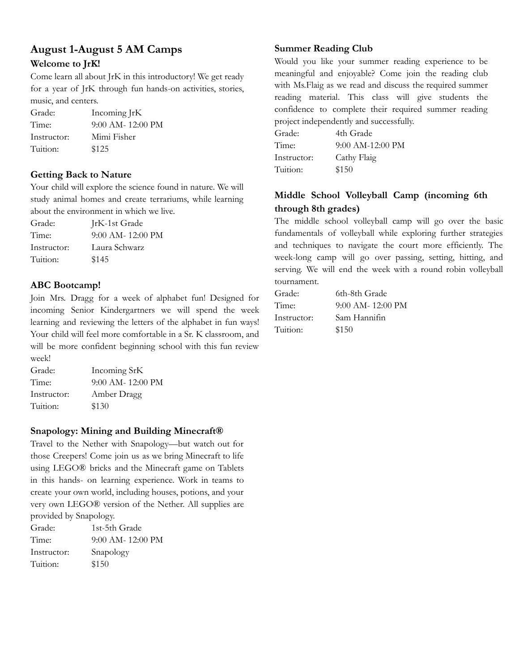# **August 1-August 5 AM Camps Welcome to JrK!**

Come learn all about JrK in this introductory! We get ready for a year of JrK through fun hands-on activities, stories, music, and centers.

| Grade:      | Incoming JrK          |
|-------------|-----------------------|
| Time:       | $9:00$ AM- $12:00$ PM |
| Instructor: | Mimi Fisher           |
| Tuition:    | \$125                 |

# **Getting Back to Nature**

Your child will explore the science found in nature. We will study animal homes and create terrariums, while learning about the environment in which we live.

Grade: JrK-1st Grade Time: 9:00 AM- 12:00 PM Instructor: Laura Schwarz Tuition: \$145

# **ABC Bootcamp!**

Join Mrs. Dragg for a week of alphabet fun! Designed for incoming Senior Kindergartners we will spend the week learning and reviewing the letters of the alphabet in fun ways! Your child will feel more comfortable in a Sr. K classroom, and will be more confident beginning school with this fun review week!

Grade: Incoming SrK Time: 9:00 AM- 12:00 PM Instructor: Amber Dragg Tuition: \$130

# **Snapology: Mining and Building Minecraft®**

Travel to the Nether with Snapology—but watch out for those Creepers! Come join us as we bring Minecraft to life using LEGO® bricks and the Minecraft game on Tablets in this hands- on learning experience. Work in teams to create your own world, including houses, potions, and your very own LEGO® version of the Nether. All supplies are provided by Snapology.

| Grade:      | 1st-5th Grade       |
|-------------|---------------------|
| Time:       | $9:00$ AM- 12:00 PM |
| Instructor: | Snapology           |
| Tuition:    | \$150               |

# **Summer Reading Club**

Would you like your summer reading experience to be meaningful and enjoyable? Come join the reading club with Ms.Flaig as we read and discuss the required summer reading material. This class will give students the confidence to complete their required summer reading project independently and successfully.

| Grade:      | 4th Grade          |
|-------------|--------------------|
| Time:       | $9:00$ AM-12:00 PM |
| Instructor: | Cathy Flaig        |
| Tuition:    | \$150              |

# **Middle School Volleyball Camp (incoming 6th through 8th grades)**

The middle school volleyball camp will go over the basic fundamentals of volleyball while exploring further strategies and techniques to navigate the court more efficiently. The week-long camp will go over passing, setting, hitting, and serving. We will end the week with a round robin volleyball tournament.

| Grade:      | 6th-8th Grade       |
|-------------|---------------------|
| Time:       | $9:00$ AM- 12:00 PM |
| Instructor: | Sam Hannifin        |
| Tuition:    | \$150               |